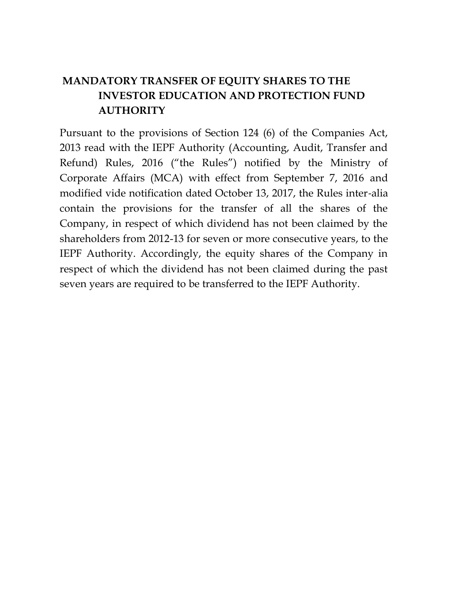## **MANDATORY TRANSFER OF EQUITY SHARES TO THE INVESTOR EDUCATION AND PROTECTION FUND AUTHORITY**

Pursuant to the provisions of Section 124 (6) of the Companies Act, 2013 read with the IEPF Authority (Accounting, Audit, Transfer and Refund) Rules, 2016 ("the Rules") notified by the Ministry of Corporate Affairs (MCA) with effect from September 7, 2016 and modified vide notification dated October 13, 2017, the Rules inter‐alia contain the provisions for the transfer of all the shares of the Company, in respect of which dividend has not been claimed by the shareholders from 2012-13 for seven or more consecutive years, to the IEPF Authority. Accordingly, the equity shares of the Company in respect of which the dividend has not been claimed during the past seven years are required to be transferred to the IEPF Authority.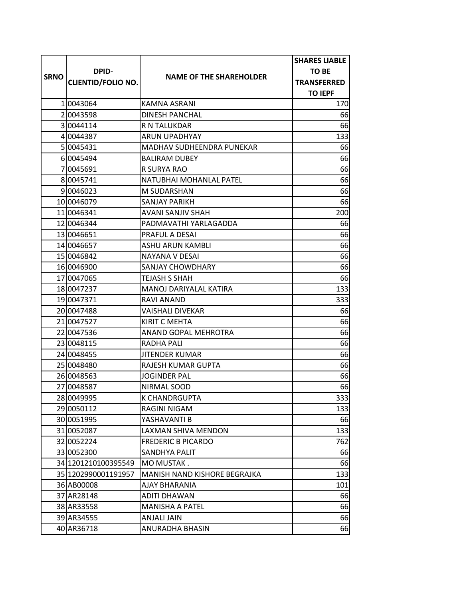|             |                                           |                                | <b>SHARES LIABLE</b> |
|-------------|-------------------------------------------|--------------------------------|----------------------|
| <b>SRNO</b> | <b>DPID-</b><br><b>CLIENTID/FOLIO NO.</b> |                                | TO BE                |
|             |                                           | <b>NAME OF THE SHAREHOLDER</b> | <b>TRANSFERRED</b>   |
|             |                                           |                                | <b>TO IEPF</b>       |
|             | 10043064                                  | KAMNA ASRANI                   | 170                  |
|             | 20043598                                  | <b>DINESH PANCHAL</b>          | 66                   |
|             | 30044114                                  | R N TALUKDAR                   | 66                   |
|             | 4 0044387                                 | <b>ARUN UPADHYAY</b>           | 133                  |
|             | 5 004 54 31                               | MADHAV SUDHEENDRA PUNEKAR      | 66                   |
|             | 60045494                                  | <b>BALIRAM DUBEY</b>           | 66                   |
|             | 7 0045691                                 | R SURYA RAO                    | 66                   |
|             | 80045741                                  | NATUBHAI MOHANLAL PATEL        | 66                   |
|             | 9 0 0 4 6 0 2 3                           | M SUDARSHAN                    | 66                   |
|             | 10 0046079                                | <b>SANJAY PARIKH</b>           | 66                   |
|             | 11 0046341                                | AVANI SANJIV SHAH              | 200                  |
|             | 12 0046344                                | PADMAVATHI YARLAGADDA          | 66                   |
|             | 13 0046651                                | PRAFUL A DESAI                 | 66                   |
|             | 14 0046657                                | <b>ASHU ARUN KAMBLI</b>        | 66                   |
|             | 15 0046842                                | NAYANA V DESAI                 | 66                   |
|             | 16 0046900                                | <b>SANJAY CHOWDHARY</b>        | 66                   |
|             | 17 0047065                                | <b>TEJASH S SHAH</b>           | 66                   |
|             | 18 0047237                                | MANOJ DARIYALAL KATIRA         | 133                  |
|             | 19 0047371                                | RAVI ANAND                     | 333                  |
|             | 20 0047488                                | <b>VAISHALI DIVEKAR</b>        | 66                   |
|             | 21 0047527                                | KIRIT C MEHTA                  | 66                   |
|             | 22 0047536                                | ANAND GOPAL MEHROTRA           | 66                   |
|             | 23 0048115                                | RADHA PALI                     | 66                   |
|             | 24 0048455                                | JITENDER KUMAR                 | 66                   |
|             | 25 0048480                                | <b>RAJESH KUMAR GUPTA</b>      | 66                   |
|             | 26 0048563                                | JOGINDER PAL                   | 66                   |
|             | 27 0048587                                | NIRMAL SOOD                    | 66                   |
|             | 28 0049995                                | K CHANDRGUPTA                  | 333                  |
|             | 29 0050112                                | RAGINI NIGAM                   | 133                  |
|             | 30 0051995                                | YASHAVANTI B                   | 66                   |
|             | 31 0052087                                | LAXMAN SHIVA MENDON            | 133                  |
|             | 32 0052224                                | <b>FREDERIC B PICARDO</b>      | 762                  |
|             | 33 0052300                                | SANDHYA PALIT                  | 66                   |
|             | 34 1201210100395549                       | MO MUSTAK.                     | 66                   |
|             | 35 1202990001191957                       | MANISH NAND KISHORE BEGRAJKA   | 133                  |
|             | 36 AB00008                                | AJAY BHARANIA                  | 101                  |
|             | 37 AR28148                                | <b>ADITI DHAWAN</b>            | 66                   |
|             | 38 AR33558                                | <b>MANISHA A PATEL</b>         | 66                   |
|             | 39 AR34555                                | <b>ANJALI JAIN</b>             | 66                   |
|             | 40 AR36718                                | ANURADHA BHASIN                | 66                   |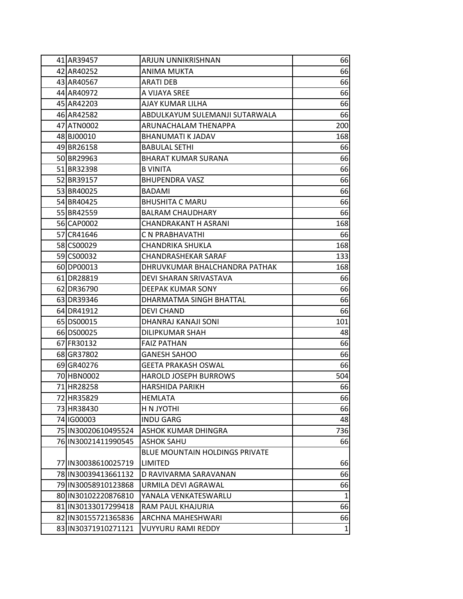| 41 AR39457            | ARJUN UNNIKRISHNAN                    | 66           |
|-----------------------|---------------------------------------|--------------|
| 42 AR40252            | <b>ANIMA MUKTA</b>                    | 66           |
| 43 AR40567            | <b>ARATI DEB</b>                      | 66           |
| 44 AR40972            | A VIJAYA SREE                         | 66           |
| 45 AR42203            | AJAY KUMAR LILHA                      | 66           |
| 46 AR42582            | ABDULKAYUM SULEMANJI SUTARWALA        | 66           |
| 47 ATN0002            | ARUNACHALAM THENAPPA                  | 200          |
| 48 BJ00010            | <b>BHANUMATI K JADAV</b>              | 168          |
| 49 BR26158            | <b>BABULAL SETHI</b>                  | 66           |
| 50 BR29963            | <b>BHARAT KUMAR SURANA</b>            | 66           |
| 51 BR32398            | <b>B VINITA</b>                       | 66           |
| 52 BR39157            | <b>BHUPENDRA VASZ</b>                 | 66           |
| 53 BR40025            | <b>BADAMI</b>                         | 66           |
| 54 BR40425            | <b>BHUSHITA C MARU</b>                | 66           |
| 55 BR42559            | <b>BALRAM CHAUDHARY</b>               | 66           |
| 56 CAP0002            | CHANDRAKANT H ASRANI                  | 168          |
| 57 CR41646            | C N PRABHAVATHI                       | 66           |
| 58 CS00029            | <b>CHANDRIKA SHUKLA</b>               | 168          |
| 59 CS00032            | <b>CHANDRASHEKAR SARAF</b>            | 133          |
| 60 DP00013            | DHRUVKUMAR BHALCHANDRA PATHAK         | 168          |
| 61 DR28819            | DEVI SHARAN SRIVASTAVA                | 66           |
| 62 DR36790            | DEEPAK KUMAR SONY                     | 66           |
| 63 DR39346            | DHARMATMA SINGH BHATTAL               | 66           |
| 64 DR41912            | <b>DEVI CHAND</b>                     | 66           |
| 65 DS00015            | DHANRAJ KANAJI SONI                   | 101          |
| 66 DS00025            | <b>DILIPKUMAR SHAH</b>                | 48           |
| 67 FR30132            | <b>FAIZ PATHAN</b>                    | 66           |
| 68 GR37802            | <b>GANESH SAHOO</b>                   | 66           |
| 69 GR40276            | <b>GEETA PRAKASH OSWAL</b>            | 66           |
| 70 HBN0002            | <b>HAROLD JOSEPH BURROWS</b>          | 504          |
| 71 HR28258            | <b>HARSHIDA PARIKH</b>                | 66           |
| 72 HR35829            | <b>HEMLATA</b>                        | 66           |
| 73 HR38430            | <b>H N JYOTHI</b>                     | 66           |
| 74 IG00003            | <b>INDU GARG</b>                      | 48           |
| 75 IN30020610495524   | ASHOK KUMAR DHINGRA                   | 736          |
| 76 IN30021411990545   | <b>ASHOK SAHU</b>                     | 66           |
|                       | <b>BLUE MOUNTAIN HOLDINGS PRIVATE</b> |              |
| 77   IN30038610025719 | <b>LIMITED</b>                        | 66           |
| 78 IN30039413661132   | D RAVIVARMA SARAVANAN                 | 66           |
| 79 IN30058910123868   | URMILA DEVI AGRAWAL                   | 66           |
| 80 IN30102220876810   | YANALA VENKATESWARLU                  | $\mathbf{1}$ |
| 81 IN30133017299418   | RAM PAUL KHAJURIA                     | 66           |
| 82 IN30155721365836   | ARCHNA MAHESHWARI                     | 66           |
| 83 IN30371910271121   | <b>VUYYURU RAMI REDDY</b>             | $\mathbf{1}$ |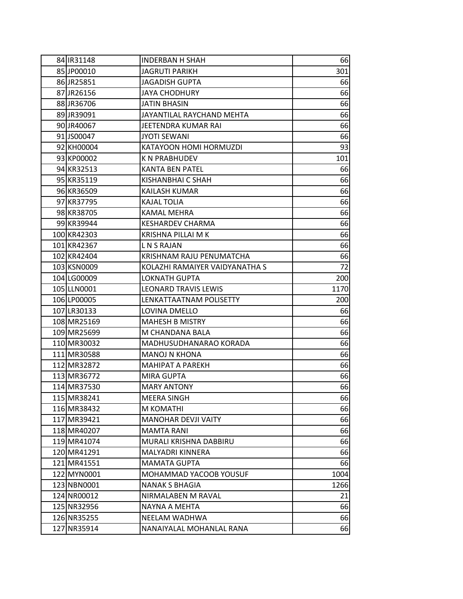| 84 IR31148  | <b>INDERBAN H SHAH</b>         | 66   |
|-------------|--------------------------------|------|
| 85 JP00010  | <b>JAGRUTI PARIKH</b>          | 301  |
| 86 JR25851  | <b>JAGADISH GUPTA</b>          | 66   |
| 87 JR26156  | <b>JAYA CHODHURY</b>           | 66   |
| 88 JR36706  | <b>JATIN BHASIN</b>            | 66   |
| 89 JR39091  | JAYANTILAL RAYCHAND MEHTA      | 66   |
| 90 JR40067  | JEETENDRA KUMAR RAI            | 66   |
| 91 JS00047  | JYOTI SEWANI                   | 66   |
| 92 KH00004  | KATAYOON HOMI HORMUZDI         | 93   |
| 93 KP00002  | <b>KN PRABHUDEV</b>            | 101  |
| 94 KR32513  | <b>KANTA BEN PATEL</b>         | 66   |
| 95 KR35119  | <b>KISHANBHAI C SHAH</b>       | 66   |
| 96 KR36509  | KAILASH KUMAR                  | 66   |
| 97 KR37795  | <b>KAJAL TOLIA</b>             | 66   |
| 98 KR38705  | <b>KAMAL MEHRA</b>             | 66   |
| 99 KR39944  | <b>KESHARDEV CHARMA</b>        | 66   |
| 100 KR42303 | KRISHNA PILLAI M K             | 66   |
| 101 KR42367 | L N S RAJAN                    | 66   |
| 102 KR42404 | KRISHNAM RAJU PENUMATCHA       | 66   |
| 103 KSN0009 | KOLAZHI RAMAIYER VAIDYANATHA S | 72   |
| 104 LG00009 | LOKNATH GUPTA                  | 200  |
| 105 LLN0001 | <b>LEONARD TRAVIS LEWIS</b>    | 1170 |
| 106 LP00005 | LENKATTAATNAM POLISETTY        | 200  |
| 107 LR30133 | LOVINA DMELLO                  | 66   |
| 108 MR25169 | <b>MAHESH B MISTRY</b>         | 66   |
| 109 MR25699 | M CHANDANA BALA                | 66   |
| 110 MR30032 | MADHUSUDHANARAO KORADA         | 66   |
| 111 MR30588 | <b>MANOJ N KHONA</b>           | 66   |
| 112 MR32872 | MAHIPAT A PAREKH               | 66   |
| 113 MR36772 | <b>MIRA GUPTA</b>              | 66   |
| 114 MR37530 | <b>MARY ANTONY</b>             | 66   |
| 115 MR38241 | <b>MEERA SINGH</b>             | 66   |
| 116 MR38432 | M KOMATHI                      | 66   |
| 117 MR39421 | <b>MANOHAR DEVJI VAITY</b>     | 66   |
| 118 MR40207 | <b>MAMTA RANI</b>              | 66   |
| 119 MR41074 | MURALI KRISHNA DABBIRU         | 66   |
| 120 MR41291 | MALYADRI KINNERA               | 66   |
| 121 MR41551 | <b>MAMATA GUPTA</b>            | 66   |
| 122 MYN0001 | MOHAMMAD YACOOB YOUSUF         | 1004 |
| 123 NBN0001 | <b>NANAK S BHAGIA</b>          | 1266 |
| 124 NR00012 | NIRMALABEN M RAVAL             | 21   |
| 125 NR32956 | NAYNA A MEHTA                  | 66   |
| 126 NR35255 | NEELAM WADHWA                  | 66   |
| 127 NR35914 | NANAIYALAL MOHANLAL RANA       | 66   |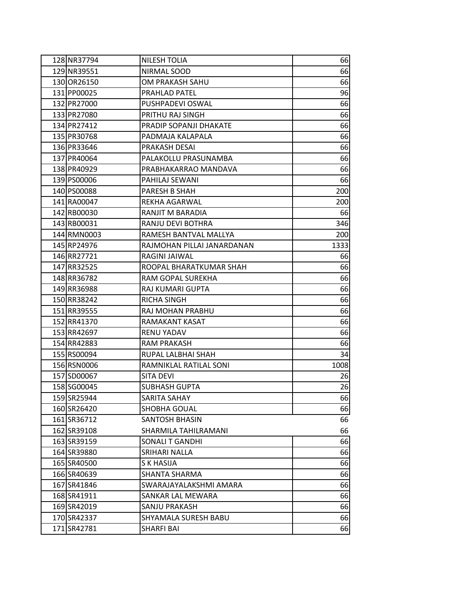| 128 NR37794 | NILESH TOLIA               | 66   |
|-------------|----------------------------|------|
| 129 NR39551 | NIRMAL SOOD                | 66   |
| 130 OR26150 | OM PRAKASH SAHU            | 66   |
| 131 PP00025 | PRAHLAD PATEL              | 96   |
| 132 PR27000 | PUSHPADEVI OSWAL           | 66   |
| 133 PR27080 | PRITHU RAJ SINGH           | 66   |
| 134 PR27412 | PRADIP SOPANJI DHAKATE     | 66   |
| 135 PR30768 | PADMAJA KALAPALA           | 66   |
| 136 PR33646 | PRAKASH DESAI              | 66   |
| 137 PR40064 | PALAKOLLU PRASUNAMBA       | 66   |
| 138 PR40929 | PRABHAKARRAO MANDAVA       | 66   |
| 139 PS00006 | PAHILAJ SEWANI             | 66   |
| 140 PS00088 | PARESH B SHAH              | 200  |
| 141 RA00047 | REKHA AGARWAL              | 200  |
| 142 RB00030 | RANJIT M BARADIA           | 66   |
| 143 RB00031 | RANJU DEVI BOTHRA          | 346  |
| 144 RMN0003 | RAMESH BANTVAL MALLYA      | 200  |
| 145 RP24976 | RAJMOHAN PILLAI JANARDANAN | 1333 |
| 146 RR27721 | RAGINI JAIWAL              | 66   |
| 147 RR32525 | ROOPAL BHARATKUMAR SHAH    | 66   |
| 148 RR36782 | RAM GOPAL SUREKHA          | 66   |
| 149 RR36988 | RAJ KUMARI GUPTA           | 66   |
| 150 RR38242 | <b>RICHA SINGH</b>         | 66   |
| 151 RR39555 | RAJ MOHAN PRABHU           | 66   |
| 152 RR41370 | RAMAKANT KASAT             | 66   |
| 153 RR42697 | RENU YADAV                 | 66   |
| 154 RR42883 | RAM PRAKASH                | 66   |
| 155 RS00094 | RUPAL LALBHAI SHAH         | 34   |
| 156 RSN0006 | RAMNIKLAL RATILAL SONI     | 1008 |
| 157 SD00067 | <b>SITA DEVI</b>           | 26   |
| 158 SG00045 | <b>SUBHASH GUPTA</b>       | 26   |
| 159 SR25944 | SARITA SAHAY               | 66   |
| 160 SR26420 | SHOBHA GOUAL               | 66   |
| 161 SR36712 | SANTOSH BHASIN             | 66   |
| 162 SR39108 | SHARMILA TAHILRAMANI       | 66   |
| 163 SR39159 | <b>SONALIT GANDHI</b>      | 66   |
| 164 SR39880 | SRIHARI NALLA              | 66   |
| 165 SR40500 | <b>SK HASIJA</b>           | 66   |
| 166 SR40639 | SHANTA SHARMA              | 66   |
| 167 SR41846 | SWARAJAYALAKSHMI AMARA     | 66   |
| 168 SR41911 | SANKAR LAL MEWARA          | 66   |
| 169 SR42019 | SANJU PRAKASH              | 66   |
| 170 SR42337 | SHYAMALA SURESH BABU       | 66   |
| 171 SR42781 | <b>SHARFI BAI</b>          | 66   |